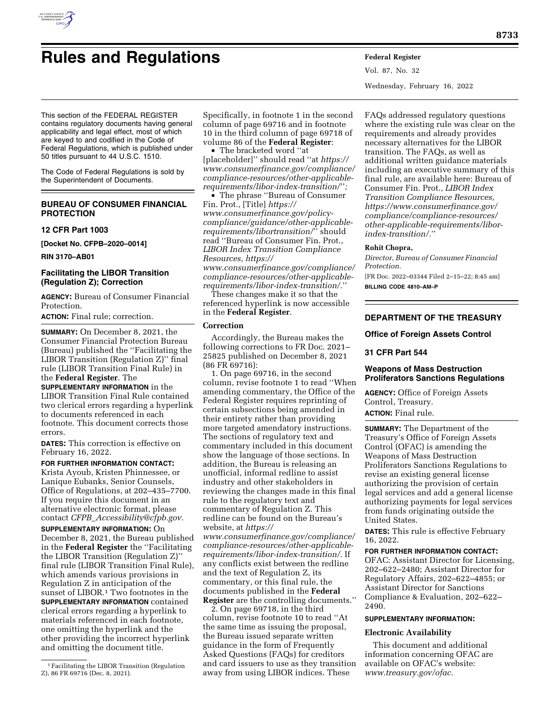

# **Rules and Regulations Federal Register**

Vol. 87, No. 32 Wednesday, February 16, 2022

This section of the FEDERAL REGISTER contains regulatory documents having general applicability and legal effect, most of which are keyed to and codified in the Code of Federal Regulations, which is published under 50 titles pursuant to 44 U.S.C. 1510.

The Code of Federal Regulations is sold by the Superintendent of Documents.

# **BUREAU OF CONSUMER FINANCIAL PROTECTION**

**12 CFR Part 1003** 

**[Docket No. CFPB–2020–0014]** 

**RIN 3170–AB01** 

# **Facilitating the LIBOR Transition (Regulation Z); Correction**

**AGENCY:** Bureau of Consumer Financial Protection.

**ACTION:** Final rule; correction.

**SUMMARY:** On December 8, 2021, the Consumer Financial Protection Bureau (Bureau) published the ''Facilitating the LIBOR Transition (Regulation Z)'' final rule (LIBOR Transition Final Rule) in the **Federal Register**. The

**SUPPLEMENTARY INFORMATION** in the LIBOR Transition Final Rule contained two clerical errors regarding a hyperlink to documents referenced in each footnote. This document corrects those errors.

**DATES:** This correction is effective on February 16, 2022.

**FOR FURTHER INFORMATION CONTACT:**  Krista Ayoub, Kristen Phinnessee, or Lanique Eubanks, Senior Counsels, Office of Regulations, at 202–435–7700. If you require this document in an alternative electronic format, please contact *CFPB*\_*[Accessibility@cfpb.gov.](mailto:CFPB_Accessibility@cfpb.gov)* 

**SUPPLEMENTARY INFORMATION:** On December 8, 2021, the Bureau published in the **Federal Register** the ''Facilitating the LIBOR Transition (Regulation Z)'' final rule (LIBOR Transition Final Rule), which amends various provisions in Regulation Z in anticipation of the sunset of LIBOR.<sup>1</sup> Two footnotes in the **SUPPLEMENTARY INFORMATION** contained clerical errors regarding a hyperlink to materials referenced in each footnote, one omitting the hyperlink and the other providing the incorrect hyperlink and omitting the document title.

Specifically, in footnote 1 in the second column of page 69716 and in footnote 10 in the third column of page 69718 of volume 86 of the **Federal Register**:

• The bracketed word ''at [placeholder]'' should read ''at *[https://](https://www.consumerfinance.gov/compliance/compliance-resources/other-applicable-requirements/libor-index-transition/) [www.consumerfinance.gov/compliance/](https://www.consumerfinance.gov/compliance/compliance-resources/other-applicable-requirements/libor-index-transition/) [compliance-resources/other-applicable](https://www.consumerfinance.gov/compliance/compliance-resources/other-applicable-requirements/libor-index-transition/)[requirements/libor-index-transition/](https://www.consumerfinance.gov/compliance/compliance-resources/other-applicable-requirements/libor-index-transition/)*''*;* 

• The phrase ''Bureau of Consumer Fin. Prot., [Title] *[https://](https://www.consumerfinance.gov/policy-compliance/guidance/other-applicable-requirements/libortransition/) [www.consumerfinance.gov/policy](https://www.consumerfinance.gov/policy-compliance/guidance/other-applicable-requirements/libortransition/)[compliance/guidance/other-applicable](https://www.consumerfinance.gov/policy-compliance/guidance/other-applicable-requirements/libortransition/)[requirements/libortransition/](https://www.consumerfinance.gov/policy-compliance/guidance/other-applicable-requirements/libortransition/)*'' should read ''Bureau of Consumer Fin. Prot., *LIBOR Index Transition Compliance Resources, [https://](https://www.consumerfinance.gov/compliance/compliance-resources/other-applicable-requirements/libor-index-transition/.)*

*[www.consumerfinance.gov/compliance/](https://www.consumerfinance.gov/compliance/compliance-resources/other-applicable-requirements/libor-index-transition/.) [compliance-resources/other-applicable](https://www.consumerfinance.gov/compliance/compliance-resources/other-applicable-requirements/libor-index-transition/.)[requirements/libor-index-transition/.](https://www.consumerfinance.gov/compliance/compliance-resources/other-applicable-requirements/libor-index-transition/.)*''

These changes make it so that the referenced hyperlink is now accessible in the **Federal Register**.

## **Correction**

Accordingly, the Bureau makes the following corrections to FR Doc. 2021– 25825 published on December 8, 2021 (86 FR 69716):

1. On page 69716, in the second column, revise footnote 1 to read ''When amending commentary, the Office of the Federal Register requires reprinting of certain subsections being amended in their entirety rather than providing more targeted amendatory instructions. The sections of regulatory text and commentary included in this document show the language of those sections. In addition, the Bureau is releasing an unofficial, informal redline to assist industry and other stakeholders in reviewing the changes made in this final rule to the regulatory text and commentary of Regulation Z. This redline can be found on the Bureau's website, at *[https://](https://www.consumerfinance.gov/compliance/compliance-resources/other-applicable-requirements/libor-index-transition/.)*

*[www.consumerfinance.gov/compliance/](https://www.consumerfinance.gov/compliance/compliance-resources/other-applicable-requirements/libor-index-transition/.) [compliance-resources/other-applicable](https://www.consumerfinance.gov/compliance/compliance-resources/other-applicable-requirements/libor-index-transition/.)[requirements/libor-index-transition/.](https://www.consumerfinance.gov/compliance/compliance-resources/other-applicable-requirements/libor-index-transition/.)* If any conflicts exist between the redline and the text of Regulation Z, its commentary, or this final rule, the documents published in the **Federal Register** are the controlling documents.''

2. On page 69718, in the third column, revise footnote 10 to read ''At the same time as issuing the proposal, the Bureau issued separate written guidance in the form of Frequently Asked Questions (FAQs) for creditors and card issuers to use as they transition away from using LIBOR indices. These

FAQs addressed regulatory questions where the existing rule was clear on the requirements and already provides necessary alternatives for the LIBOR transition. The FAQs, as well as additional written guidance materials including an executive summary of this final rule, are available here: Bureau of Consumer Fin. Prot., *LIBOR Index Transition Compliance Resources, [https://www.consumerfinance.gov/](https://www.consumerfinance.gov/compliance/compliance-resources/other-applicable-requirements/libor-index-transition/.) [compliance/compliance-resources/](https://www.consumerfinance.gov/compliance/compliance-resources/other-applicable-requirements/libor-index-transition/.) [other-applicable-requirements/libor](https://www.consumerfinance.gov/compliance/compliance-resources/other-applicable-requirements/libor-index-transition/.)[index-transition/.](https://www.consumerfinance.gov/compliance/compliance-resources/other-applicable-requirements/libor-index-transition/.)*''

## **Rohit Chopra,**

*Director, Bureau of Consumer Financial Protection.* 

[FR Doc. 2022–03344 Filed 2–15–22; 8:45 am] **BILLING CODE 4810–AM–P** 

# **DEPARTMENT OF THE TREASURY**

## **Office of Foreign Assets Control**

## **31 CFR Part 544**

## **Weapons of Mass Destruction Proliferators Sanctions Regulations**

**AGENCY:** Office of Foreign Assets Control, Treasury. **ACTION:** Final rule.

**SUMMARY:** The Department of the Treasury's Office of Foreign Assets Control (OFAC) is amending the Weapons of Mass Destruction Proliferators Sanctions Regulations to revise an existing general license authorizing the provision of certain legal services and add a general license authorizing payments for legal services from funds originating outside the United States.

**DATES:** This rule is effective February 16, 2022.

**FOR FURTHER INFORMATION CONTACT:**  OFAC: Assistant Director for Licensing, 202–622–2480; Assistant Director for Regulatory Affairs, 202–622–4855; or Assistant Director for Sanctions Compliance & Evaluation, 202–622– 2490.

## **SUPPLEMENTARY INFORMATION:**

## **Electronic Availability**

This document and additional information concerning OFAC are available on OFAC's website: *[www.treasury.gov/ofac.](http://www.treasury.gov/ofac)* 

<sup>1</sup>Facilitating the LIBOR Transition (Regulation Z), 86 FR 69716 (Dec. 8, 2021).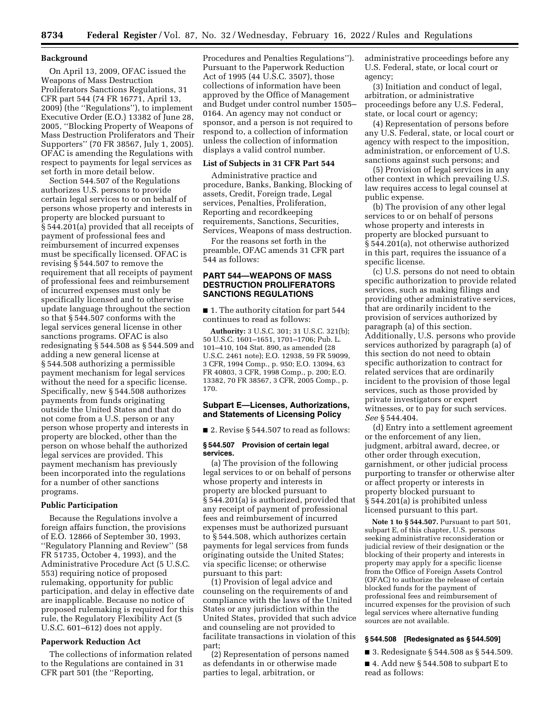### **Background**

On April 13, 2009, OFAC issued the Weapons of Mass Destruction Proliferators Sanctions Regulations, 31 CFR part 544 (74 FR 16771, April 13, 2009) (the ''Regulations''), to implement Executive Order (E.O.) 13382 of June 28, 2005, ''Blocking Property of Weapons of Mass Destruction Proliferators and Their Supporters'' (70 FR 38567, July 1, 2005). OFAC is amending the Regulations with respect to payments for legal services as set forth in more detail below.

Section 544.507 of the Regulations authorizes U.S. persons to provide certain legal services to or on behalf of persons whose property and interests in property are blocked pursuant to § 544.201(a) provided that all receipts of payment of professional fees and reimbursement of incurred expenses must be specifically licensed. OFAC is revising § 544.507 to remove the requirement that all receipts of payment of professional fees and reimbursement of incurred expenses must only be specifically licensed and to otherwise update language throughout the section so that § 544.507 conforms with the legal services general license in other sanctions programs. OFAC is also redesignating § 544.508 as § 544.509 and adding a new general license at § 544.508 authorizing a permissible payment mechanism for legal services without the need for a specific license. Specifically, new § 544.508 authorizes payments from funds originating outside the United States and that do not come from a U.S. person or any person whose property and interests in property are blocked, other than the person on whose behalf the authorized legal services are provided. This payment mechanism has previously been incorporated into the regulations for a number of other sanctions programs.

#### **Public Participation**

Because the Regulations involve a foreign affairs function, the provisions of E.O. 12866 of September 30, 1993, ''Regulatory Planning and Review'' (58 FR 51735, October 4, 1993), and the Administrative Procedure Act (5 U.S.C. 553) requiring notice of proposed rulemaking, opportunity for public participation, and delay in effective date are inapplicable. Because no notice of proposed rulemaking is required for this rule, the Regulatory Flexibility Act (5 U.S.C. 601–612) does not apply.

## **Paperwork Reduction Act**

The collections of information related to the Regulations are contained in 31 CFR part 501 (the ''Reporting,

Procedures and Penalties Regulations''). Pursuant to the Paperwork Reduction Act of 1995 (44 U.S.C. 3507), those collections of information have been approved by the Office of Management and Budget under control number 1505– 0164. An agency may not conduct or sponsor, and a person is not required to respond to, a collection of information unless the collection of information displays a valid control number.

#### **List of Subjects in 31 CFR Part 544**

Administrative practice and procedure, Banks, Banking, Blocking of assets, Credit, Foreign trade, Legal services, Penalties, Proliferation, Reporting and recordkeeping requirements, Sanctions, Securities, Services, Weapons of mass destruction.

For the reasons set forth in the preamble, OFAC amends 31 CFR part 544 as follows:

# **PART 544—WEAPONS OF MASS DESTRUCTION PROLIFERATORS SANCTIONS REGULATIONS**

■ 1. The authority citation for part 544 continues to read as follows:

**Authority:** 3 U.S.C. 301; 31 U.S.C. 321(b); 50 U.S.C. 1601–1651, 1701–1706; Pub. L. 101–410, 104 Stat. 890, as amended (28 U.S.C. 2461 note); E.O. 12938, 59 FR 59099, 3 CFR, 1994 Comp., p. 950; E.O. 13094, 63 FR 40803, 3 CFR, 1998 Comp., p. 200; E.O. 13382, 70 FR 38567, 3 CFR, 2005 Comp., p. 170.

## **Subpart E—Licenses, Authorizations, and Statements of Licensing Policy**

■ 2. Revise § 544.507 to read as follows:

#### **§ 544.507 Provision of certain legal services.**

(a) The provision of the following legal services to or on behalf of persons whose property and interests in property are blocked pursuant to § 544.201(a) is authorized, provided that any receipt of payment of professional fees and reimbursement of incurred expenses must be authorized pursuant to § 544.508, which authorizes certain payments for legal services from funds originating outside the United States; via specific license; or otherwise pursuant to this part:

(1) Provision of legal advice and counseling on the requirements of and compliance with the laws of the United States or any jurisdiction within the United States, provided that such advice and counseling are not provided to facilitate transactions in violation of this part;

(2) Representation of persons named as defendants in or otherwise made parties to legal, arbitration, or

administrative proceedings before any U.S. Federal, state, or local court or agency;

(3) Initiation and conduct of legal, arbitration, or administrative proceedings before any U.S. Federal, state, or local court or agency;

(4) Representation of persons before any U.S. Federal, state, or local court or agency with respect to the imposition, administration, or enforcement of U.S. sanctions against such persons; and

(5) Provision of legal services in any other context in which prevailing U.S. law requires access to legal counsel at public expense.

(b) The provision of any other legal services to or on behalf of persons whose property and interests in property are blocked pursuant to § 544.201(a), not otherwise authorized in this part, requires the issuance of a specific license.

(c) U.S. persons do not need to obtain specific authorization to provide related services, such as making filings and providing other administrative services, that are ordinarily incident to the provision of services authorized by paragraph (a) of this section. Additionally, U.S. persons who provide services authorized by paragraph (a) of this section do not need to obtain specific authorization to contract for related services that are ordinarily incident to the provision of those legal services, such as those provided by private investigators or expert witnesses, or to pay for such services. *See* § 544.404.

(d) Entry into a settlement agreement or the enforcement of any lien, judgment, arbitral award, decree, or other order through execution, garnishment, or other judicial process purporting to transfer or otherwise alter or affect property or interests in property blocked pursuant to § 544.201(a) is prohibited unless licensed pursuant to this part.

**Note 1 to § 544.507.** Pursuant to part 501, subpart E, of this chapter, U.S. persons seeking administrative reconsideration or judicial review of their designation or the blocking of their property and interests in property may apply for a specific license from the Office of Foreign Assets Control (OFAC) to authorize the release of certain blocked funds for the payment of professional fees and reimbursement of incurred expenses for the provision of such legal services where alternative funding sources are not available.

## **§ 544.508 [Redesignated as § 544.509]**

- 3. Redesignate § 544.508 as § 544.509.
- $\blacksquare$  4. Add new § 544.508 to subpart E to read as follows: